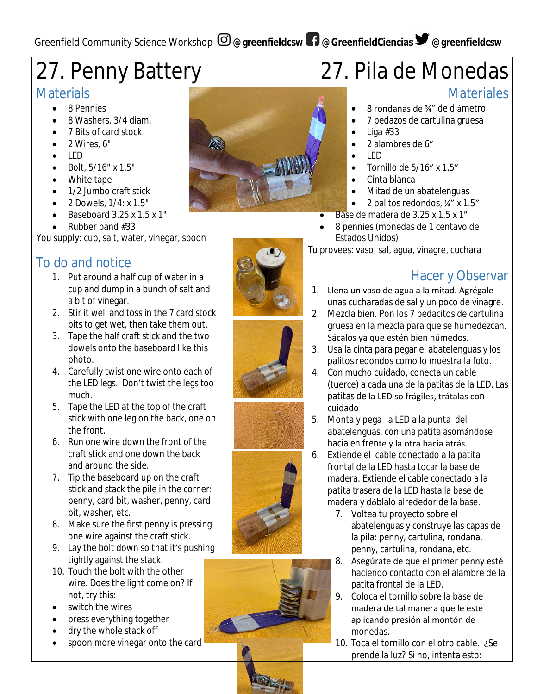# 27. Penny Battery

#### **Materials**

- 8 Pennies
- 8 Washers, 3/4 diam.
- 7 Bits of card stock
- 2 Wires, 6"
- LED
- Bolt, 5/16" x 1.5"
- White tape
- 1/2 Jumbo craft stick
- 2 Dowels, 1/4: x 1.5"
- Baseboard 3.25 x 1.5 x 1"
- Rubber band #33

You supply: cup, salt, water, vinegar, spoon

#### To do and notice

- 1. Put around a half cup of water in a cup and dump in a bunch of salt and a bit of vinegar.
- 2. Stir it well and toss in the 7 card stock bits to get wet, then take them out.
- 3. Tape the half craft stick and the two dowels onto the baseboard like this photo.
- 4. Carefully twist one wire onto each of the LED legs. Don't twist the legs too much.
- 5. Tape the LED at the top of the craft stick with one leg on the back, one on the front.
- 6. Run one wire down the front of the craft stick and one down the back and around the side.
- 7. Tip the baseboard up on the craft stick and stack the pile in the corner: penny, card bit, washer, penny, card bit, washer, etc.
- 8. Make sure the first penny is pressing one wire against the craft stick.
- 9. Lay the bolt down so that it's pushing tightly against the stack.
- 10. Touch the bolt with the other wire. Does the light come on? If not, try this:
- switch the wires
- press everything together
- dry the whole stack off
- spoon more vinegar onto the card



## 27. Pila de Monedas

#### **Materiales**

- 8 rondanas de ¾" de diámetro
- 7 pedazos de cartulina gruesa
- Liga #33
- 2 alambres de 6"
- LED
- $\bullet$  Tornillo de 5/16" x 1.5"
- Cinta blanca
- Mitad de un abatelenguas
- 2 palitos redondos, ¼" x 1.5"
- Base de madera de 3.25 x 1.5 x 1"
- 8 pennies (monedas de 1 centavo de Estados Unidos)

Tu provees: vaso, sal, agua, vinagre, cuchara

### Hacer y Observar

- 1. Llena un vaso de agua a la mitad. Agrégale unas cucharadas de sal y un poco de vinagre.
- 2. Mezcla bien. Pon los 7 pedacitos de cartulina gruesa en la mezcla para que se humedezcan. Sácalos ya que estén bien húmedos.
- 3. Usa la cinta para pegar el abatelenguas y los palitos redondos como lo muestra la foto.
- 4. Con mucho cuidado, conecta un cable (tuerce) a cada una de la patitas de la LED. Las patitas de la LED so frágiles, trátalas con cuidado
- 5. Monta y pega la LED a la punta del abatelenguas, con una patita asomándose hacia en frente y la otra hacia atrás.
- 6. Extiende el cable conectado a la patita frontal de la LED hasta tocar la base de madera. Extiende el cable conectado a la patita trasera de la LED hasta la base de madera y dóblalo alrededor de la base.
	- 7. Voltea tu proyecto sobre el abatelenguas y construye las capas de la pila: penny, cartulina, rondana, penny, cartulina, rondana, etc.
	- 8. Asegúrate de que el primer penny esté haciendo contacto con el alambre de la patita frontal de la LED.
	- 9. Coloca el tornillo sobre la base de madera de tal manera que le esté aplicando presión al montón de monedas.
	- 10. Toca el tornillo con el otro cable. ¿Se prende la luz? Si no, intenta esto: